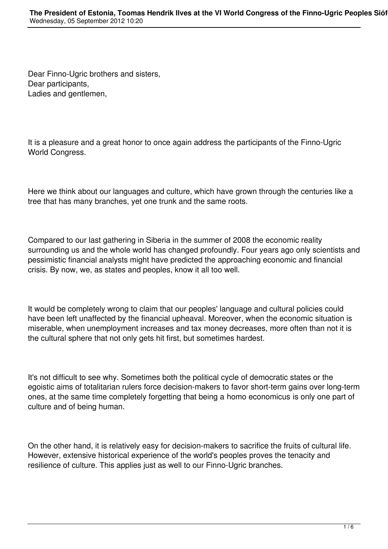Dear Finno-Ugric brothers and sisters, Dear participants, Ladies and gentlemen,

It is a pleasure and a great honor to once again address the participants of the Finno-Ugric World Congress.

Here we think about our languages and culture, which have grown through the centuries like a tree that has many branches, yet one trunk and the same roots.

Compared to our last gathering in Siberia in the summer of 2008 the economic reality surrounding us and the whole world has changed profoundly. Four years ago only scientists and pessimistic financial analysts might have predicted the approaching economic and financial crisis. By now, we, as states and peoples, know it all too well.

It would be completely wrong to claim that our peoples' language and cultural policies could have been left unaffected by the financial upheaval. Moreover, when the economic situation is miserable, when unemployment increases and tax money decreases, more often than not it is the cultural sphere that not only gets hit first, but sometimes hardest.

It's not difficult to see why. Sometimes both the political cycle of democratic states or the egoistic aims of totalitarian rulers force decision-makers to favor short-term gains over long-term ones, at the same time completely forgetting that being a homo economicus is only one part of culture and of being human.

On the other hand, it is relatively easy for decision-makers to sacrifice the fruits of cultural life. However, extensive historical experience of the world's peoples proves the tenacity and resilience of culture. This applies just as well to our Finno-Ugric branches.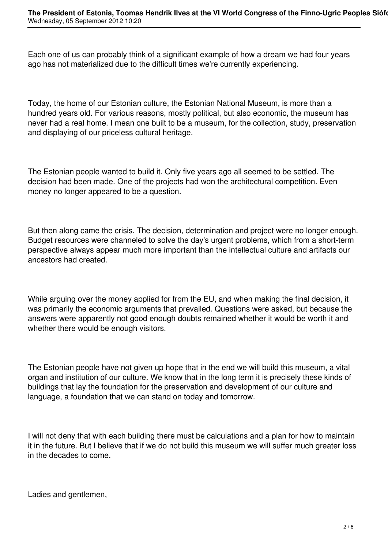Each one of us can probably think of a significant example of how a dream we had four years ago has not materialized due to the difficult times we're currently experiencing.

Today, the home of our Estonian culture, the Estonian National Museum, is more than a hundred years old. For various reasons, mostly political, but also economic, the museum has never had a real home. I mean one built to be a museum, for the collection, study, preservation and displaying of our priceless cultural heritage.

The Estonian people wanted to build it. Only five years ago all seemed to be settled. The decision had been made. One of the projects had won the architectural competition. Even money no longer appeared to be a question.

But then along came the crisis. The decision, determination and project were no longer enough. Budget resources were channeled to solve the day's urgent problems, which from a short-term perspective always appear much more important than the intellectual culture and artifacts our ancestors had created.

While arguing over the money applied for from the EU, and when making the final decision, it was primarily the economic arguments that prevailed. Questions were asked, but because the answers were apparently not good enough doubts remained whether it would be worth it and whether there would be enough visitors.

The Estonian people have not given up hope that in the end we will build this museum, a vital organ and institution of our culture. We know that in the long term it is precisely these kinds of buildings that lay the foundation for the preservation and development of our culture and language, a foundation that we can stand on today and tomorrow.

I will not deny that with each building there must be calculations and a plan for how to maintain it in the future. But I believe that if we do not build this museum we will suffer much greater loss in the decades to come.

Ladies and gentlemen,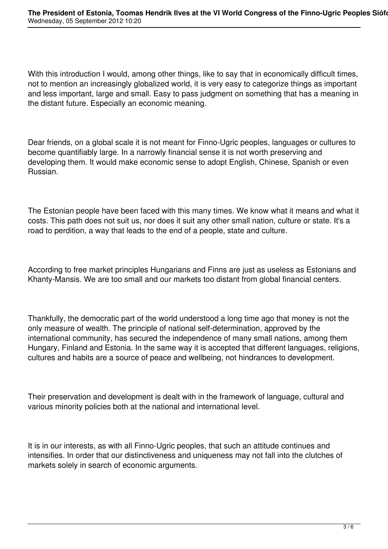With this introduction I would, among other things, like to say that in economically difficult times, not to mention an increasingly globalized world, it is very easy to categorize things as important and less important, large and small. Easy to pass judgment on something that has a meaning in the distant future. Especially an economic meaning.

Dear friends, on a global scale it is not meant for Finno-Ugric peoples, languages or cultures to become quantifiably large. In a narrowly financial sense it is not worth preserving and developing them. It would make economic sense to adopt English, Chinese, Spanish or even Russian.

The Estonian people have been faced with this many times. We know what it means and what it costs. This path does not suit us, nor does it suit any other small nation, culture or state. It's a road to perdition, a way that leads to the end of a people, state and culture.

According to free market principles Hungarians and Finns are just as useless as Estonians and Khanty-Mansis. We are too small and our markets too distant from global financial centers.

Thankfully, the democratic part of the world understood a long time ago that money is not the only measure of wealth. The principle of national self-determination, approved by the international community, has secured the independence of many small nations, among them Hungary, Finland and Estonia. In the same way it is accepted that different languages, religions, cultures and habits are a source of peace and wellbeing, not hindrances to development.

Their preservation and development is dealt with in the framework of language, cultural and various minority policies both at the national and international level.

It is in our interests, as with all Finno-Ugric peoples, that such an attitude continues and intensifies. In order that our distinctiveness and uniqueness may not fall into the clutches of markets solely in search of economic arguments.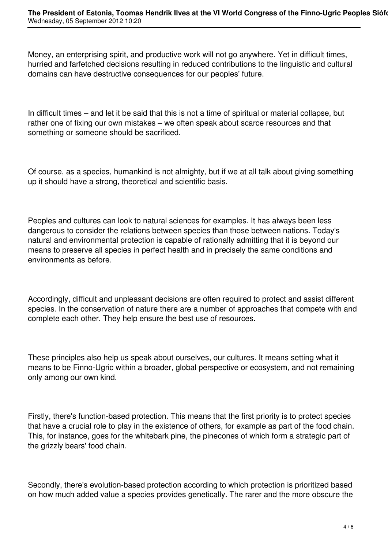Money, an enterprising spirit, and productive work will not go anywhere. Yet in difficult times, hurried and farfetched decisions resulting in reduced contributions to the linguistic and cultural domains can have destructive consequences for our peoples' future.

In difficult times – and let it be said that this is not a time of spiritual or material collapse, but rather one of fixing our own mistakes – we often speak about scarce resources and that something or someone should be sacrificed.

Of course, as a species, humankind is not almighty, but if we at all talk about giving something up it should have a strong, theoretical and scientific basis.

Peoples and cultures can look to natural sciences for examples. It has always been less dangerous to consider the relations between species than those between nations. Today's natural and environmental protection is capable of rationally admitting that it is beyond our means to preserve all species in perfect health and in precisely the same conditions and environments as before.

Accordingly, difficult and unpleasant decisions are often required to protect and assist different species. In the conservation of nature there are a number of approaches that compete with and complete each other. They help ensure the best use of resources.

These principles also help us speak about ourselves, our cultures. It means setting what it means to be Finno-Ugric within a broader, global perspective or ecosystem, and not remaining only among our own kind.

Firstly, there's function-based protection. This means that the first priority is to protect species that have a crucial role to play in the existence of others, for example as part of the food chain. This, for instance, goes for the whitebark pine, the pinecones of which form a strategic part of the grizzly bears' food chain.

Secondly, there's evolution-based protection according to which protection is prioritized based on how much added value a species provides genetically. The rarer and the more obscure the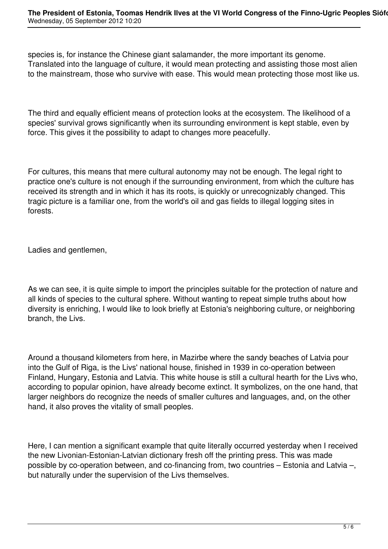species is, for instance the Chinese giant salamander, the more important its genome. Translated into the language of culture, it would mean protecting and assisting those most alien to the mainstream, those who survive with ease. This would mean protecting those most like us.

The third and equally efficient means of protection looks at the ecosystem. The likelihood of a species' survival grows significantly when its surrounding environment is kept stable, even by force. This gives it the possibility to adapt to changes more peacefully.

For cultures, this means that mere cultural autonomy may not be enough. The legal right to practice one's culture is not enough if the surrounding environment, from which the culture has received its strength and in which it has its roots, is quickly or unrecognizably changed. This tragic picture is a familiar one, from the world's oil and gas fields to illegal logging sites in forests.

Ladies and gentlemen,

As we can see, it is quite simple to import the principles suitable for the protection of nature and all kinds of species to the cultural sphere. Without wanting to repeat simple truths about how diversity is enriching, I would like to look briefly at Estonia's neighboring culture, or neighboring branch, the Livs.

Around a thousand kilometers from here, in Mazirbe where the sandy beaches of Latvia pour into the Gulf of Riga, is the Livs' national house, finished in 1939 in co-operation between Finland, Hungary, Estonia and Latvia. This white house is still a cultural hearth for the Livs who, according to popular opinion, have already become extinct. It symbolizes, on the one hand, that larger neighbors do recognize the needs of smaller cultures and languages, and, on the other hand, it also proves the vitality of small peoples.

Here, I can mention a significant example that quite literally occurred yesterday when I received the new Livonian-Estonian-Latvian dictionary fresh off the printing press. This was made possible by co-operation between, and co-financing from, two countries – Estonia and Latvia –, but naturally under the supervision of the Livs themselves.